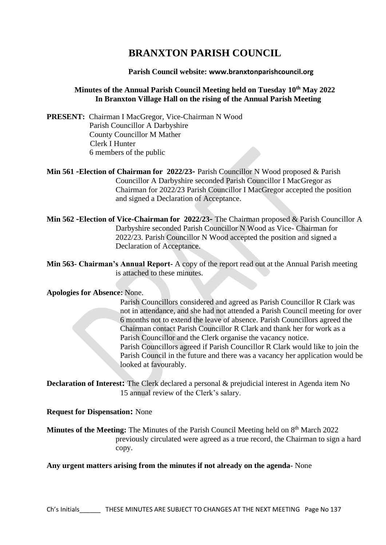# **BRANXTON PARISH COUNCIL**

# **Parish Council website: www.branxtonparishcouncil.org**

# **Minutes of the Annual Parish Council Meeting held on Tuesday 10th May 2022 In Branxton Village Hall on the rising of the Annual Parish Meeting**

**PRESENT:** Chairman I MacGregor, Vice-Chairman N Wood Parish Councillor A Darbyshire County Councillor M Mather Clerk I Hunter 6 members of the public

**Min 561 -Election of Chairman for 2022/23-** Parish Councillor N Wood proposed & Parish Councillor A Darbyshire seconded Parish Councillor I MacGregor as Chairman for 2022/23 Parish Councillor I MacGregor accepted the position and signed a Declaration of Acceptance.

- **Min 562 -Election of Vice-Chairman for 2022/23-** The Chairman proposed & Parish Councillor A Darbyshire seconded Parish Councillor N Wood as Vice- Chairman for 2022/23. Parish Councillor N Wood accepted the position and signed a Declaration of Acceptance.
- **Min 563- Chairman's Annual Report-** A copy of the report read out at the Annual Parish meeting is attached to these minutes.

#### **Apologies for Absence:** None.

Parish Councillors considered and agreed as Parish Councillor R Clark was not in attendance, and she had not attended a Parish Council meeting for over 6 months not to extend the leave of absence. Parish Councillors agreed the Chairman contact Parish Councillor R Clark and thank her for work as a Parish Councillor and the Clerk organise the vacancy notice. Parish Councillors agreed if Parish Councillor R Clark would like to join the Parish Council in the future and there was a vacancy her application would be looked at favourably.

**Declaration of Interest:** The Clerk declared a personal & prejudicial interest in Agenda item No 15 annual review of the Clerk's salary.

#### **Request for Dispensation:** None

Minutes of the Meeting: The Minutes of the Parish Council Meeting held on 8<sup>th</sup> March 2022 previously circulated were agreed as a true record, the Chairman to sign a hard copy.

# **Any urgent matters arising from the minutes if not already on the agenda**- None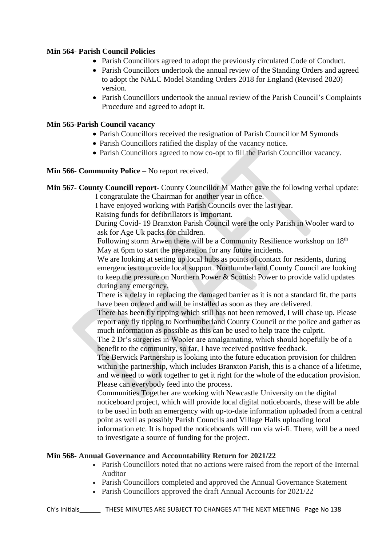# **Min 564- Parish Council Policies**

- Parish Councillors agreed to adopt the previously circulated Code of Conduct.
- Parish Councillors undertook the annual review of the Standing Orders and agreed to adopt the NALC Model Standing Orders 2018 for England (Revised 2020) version.
- Parish Councillors undertook the annual review of the Parish Council's Complaints Procedure and agreed to adopt it.

# **Min 565-Parish Council vacancy**

- Parish Councillors received the resignation of Parish Councillor M Symonds
- Parish Councillors ratified the display of the vacancy notice.
- Parish Councillors agreed to now co-opt to fill the Parish Councillor vacancy.

#### **Min 566- Community Police –** No report received.

**Min 567- County Councill report-** County Councillor M Mather gave the following verbal update: I congratulate the Chairman for another year in office.

I have enjoyed working with Parish Councils over the last year.

Raising funds for defibrillators is important.

 During Covid- 19 Branxton Parish Council were the only Parish in Wooler ward to ask for Age Uk packs for children.

Following storm Arwen there will be a Community Resilience workshop on 18<sup>th</sup> May at 6pm to start the preparation for any future incidents.

We are looking at setting up local hubs as points of contact for residents, during emergencies to provide local support. Northumberland County Council are looking to keep the pressure on Northern Power & Scottish Power to provide valid updates during any emergency.

There is a delay in replacing the damaged barrier as it is not a standard fit, the parts have been ordered and will be installed as soon as they are delivered.

There has been fly tipping which still has not been removed, I will chase up. Please report any fly tipping to Northumberland County Council or the police and gather as much information as possible as this can be used to help trace the culprit.

The 2 Dr's surgeries in Wooler are amalgamating, which should hopefully be of a benefit to the community, so far, I have received positive feedback.

The Berwick Partnership is looking into the future education provision for children within the partnership, which includes Branxton Parish, this is a chance of a lifetime, and we need to work together to get it right for the whole of the education provision. Please can everybody feed into the process.

Communities Together are working with Newcastle University on the digital noticeboard project, which will provide local digital noticeboards, these will be able to be used in both an emergency with up-to-date information uploaded from a central point as well as possibly Parish Councils and Village Halls uploading local information etc. It is hoped the noticeboards will run via wi-fi. There, will be a need to investigate a source of funding for the project.

#### **Min 568- Annual Governance and Accountability Return for 2021/22**

- Parish Councillors noted that no actions were raised from the report of the Internal Auditor
- Parish Councillors completed and approved the Annual Governance Statement
- Parish Councillors approved the draft Annual Accounts for 2021/22

Ch's Initials\_\_\_\_\_\_ THESE MINUTES ARE SUBJECT TO CHANGES AT THE NEXT MEETING Page No 138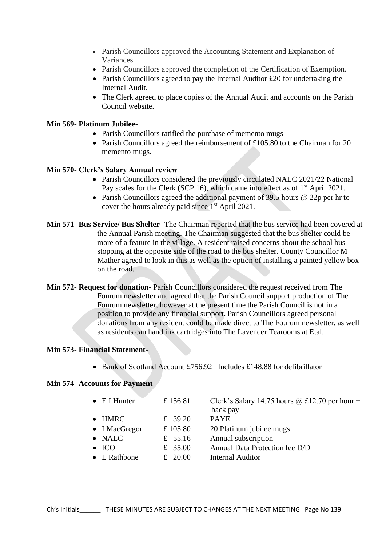- Parish Councillors approved the Accounting Statement and Explanation of Variances
- Parish Councillors approved the completion of the Certification of Exemption.
- Parish Councillors agreed to pay the Internal Auditor £20 for undertaking the Internal Audit.
- The Clerk agreed to place copies of the Annual Audit and accounts on the Parish Council website.

#### **Min 569- Platinum Jubilee-**

- Parish Councillors ratified the purchase of memento mugs
- Parish Councillors agreed the reimbursement of £105.80 to the Chairman for 20 memento mugs.

#### **Min 570- Clerk's Salary Annual review**

- Parish Councillors considered the previously circulated NALC 2021/22 National Pay scales for the Clerk (SCP 16), which came into effect as of  $1<sup>st</sup>$  April 2021.
- Parish Councillors agreed the additional payment of 39.5 hours @ 22p per hr to cover the hours already paid since  $1<sup>st</sup>$  April 2021.
- **Min 571- Bus Service/ Bus Shelter-** The Chairman reported that the bus service had been covered at the Annual Parish meeting. The Chairman suggested that the bus shelter could be more of a feature in the village. A resident raised concerns about the school bus stopping at the opposite side of the road to the bus shelter. County Councillor M Mather agreed to look in this as well as the option of installing a painted yellow box on the road.
- **Min 572- Request for donation-** Parish Councillors considered the request received from The Fourum newsletter and agreed that the Parish Council support production of The Fourum newsletter, however at the present time the Parish Council is not in a position to provide any financial support. Parish Councillors agreed personal donations from any resident could be made direct to The Fourum newsletter, as well as residents can hand ink cartridges into The Lavender Tearooms at Etal.

#### **Min 573- Financial Statement-**

• Bank of Scotland Account £756.92 Includes £148.88 for defibrillator

#### **Min 574- Accounts for Payment –**

- E I Hunter  $\pm 156.81$  Clerk's Salary 14.75 hours @ £12.70 per hour + back pay
- HMRC  $\qquad \qquad \text{\pounds} \quad 39.20 \qquad \text{\pounds } \text{PAYE}$
- I MacGregor  $\pm 105.80$  20 Platinum jubilee mugs
- 
- 
- NALC £ 55.16 Annual subscription • ICO  $\pm$  35.00 Annual Data Protection fee D/D
- E Rathbone  $\qquad \qquad \text{£} \quad 20.00 \qquad \text{Internal Auditor}$
- Ch's Initials\_\_\_\_\_\_ THESE MINUTES ARE SUBJECT TO CHANGES AT THE NEXT MEETING Page No 139